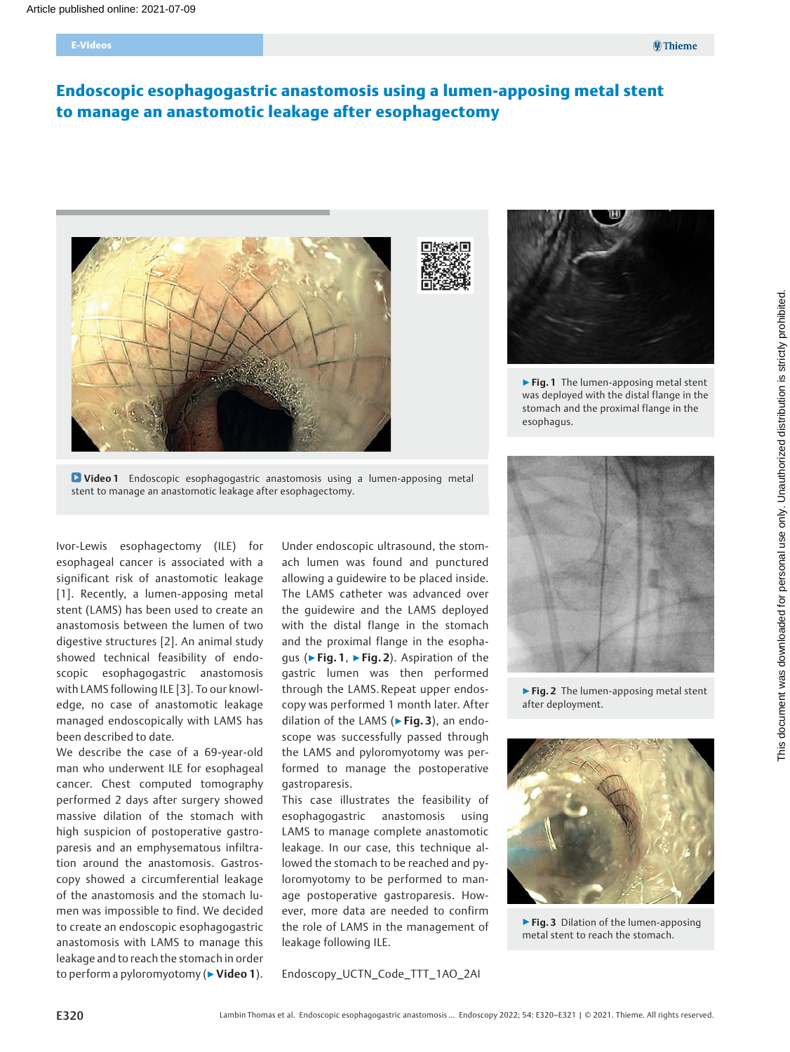# Endoscopic esophagogastric anastomosis using a lumen-apposing metal stent to manage an anastomotic leakage after esophagectomy





▶ Fig. 1 The lumen-apposing metal stent was deployed with the distal flange in the stomach and the proximal flange in the esophagus.

**D** Video 1 Endoscopic esophagogastric anastomosis using a lumen-apposing metal stent to manage an anastomotic leakage after esophagectomy.

Ivor-Lewis esophagectomy (ILE) for esophageal cancer is associated with a significant risk of anastomotic leakage [1]. Recently, a lumen-apposing metal stent (LAMS) has been used to create an anastomosis between the lumen of two digestive structures [2]. An animal study showed technical feasibility of endoscopic esophagogastric anastomosis with LAMS following ILE [3]. To our knowledge, no case of anastomotic leakage managed endoscopically with LAMS has been described to date.

We describe the case of a 69-year-old man who underwent ILE for esophageal cancer. Chest computed tomography performed 2 days after surgery showed massive dilation of the stomach with high suspicion of postoperative gastroparesis and an emphysematous infiltration around the anastomosis. Gastroscopy showed a circumferential leakage of the anastomosis and the stomach lumen was impossible to find. We decided to create an endoscopic esophagogastric anastomosis with LAMS to manage this leakage and to reach the stomach in order to perform a pyloromyotomy (▶ Video 1).

Under endoscopic ultrasound, the stomach lumen was found and punctured allowing a guidewire to be placed inside. The LAMS catheter was advanced over the guidewire and the LAMS deployed with the distal flange in the stomach and the proximal flange in the esophagus (▶Fig. 1, ▶Fig. 2). Aspiration of the gastric lumen was then performed through the LAMS. Repeat upper endoscopy was performed 1 month later. After dilation of the LAMS ( $\blacktriangleright$  Fig. 3), an endoscope was successfully passed through the LAMS and pyloromyotomy was performed to manage the postoperative gastroparesis.

This case illustrates the feasibility of esophagogastric anastomosis using LAMS to manage complete anastomotic leakage. In our case, this technique allowed the stomach to be reached and pyloromyotomy to be performed to manage postoperative gastroparesis. However, more data are needed to confirm the role of LAMS in the management of leakage following ILE.

Endoscopy\_UCTN\_Code\_TTT\_1AO\_2AI



▶ Fig. 2 The lumen-apposing metal stent after deployment.



▶ Fig. 3 Dilation of the lumen-apposing metal stent to reach the stomach.